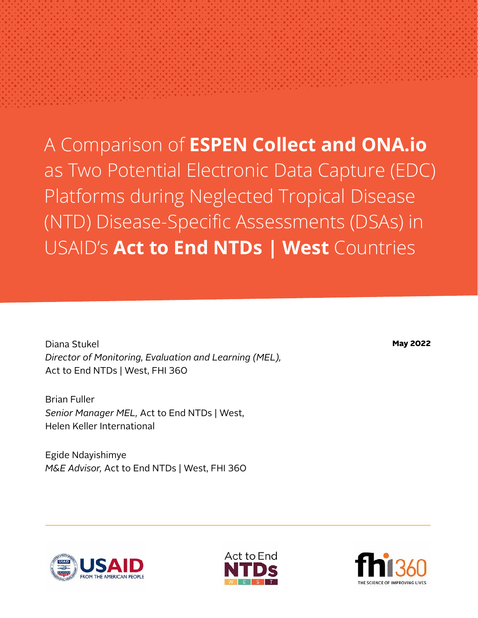A Comparison of **ESPEN Collect and ONA.io** as Two Potential Electronic Data Capture (EDC) Platforms during Neglected Tropical Disease (NTD) Disease-Specific Assessments (DSAs) in USAID's **Act to End NTDs | West** Countries

Diana Stukel *Director of Monitoring, Evaluation and Learning (MEL),*  Act to End NTDs | West, FHI 360

Brian Fuller *Senior Manager MEL,* Act to End NTDs | West, Helen Keller International

Egide Ndayishimye *M&E Advisor,* Act to End NTDs | West, FHI 360 May 2022



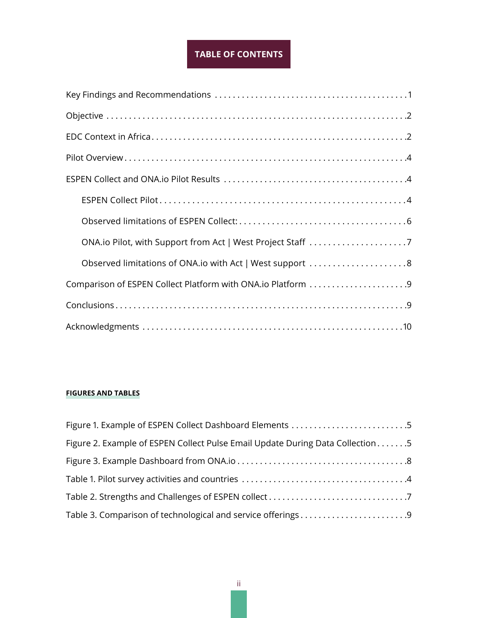## **TABLE OF CONTENTS**

| Observed limitations of ONA.io with Act   West support 8    |
|-------------------------------------------------------------|
| Comparison of ESPEN Collect Platform with ONA.io Platform 9 |
|                                                             |
|                                                             |

### **FIGURES AND TABLES**

| Figure 1. Example of ESPEN Collect Dashboard Elements 5                        |
|--------------------------------------------------------------------------------|
| Figure 2. Example of ESPEN Collect Pulse Email Update During Data Collection 5 |
|                                                                                |
|                                                                                |
|                                                                                |
| Table 3. Comparison of technological and service offerings9                    |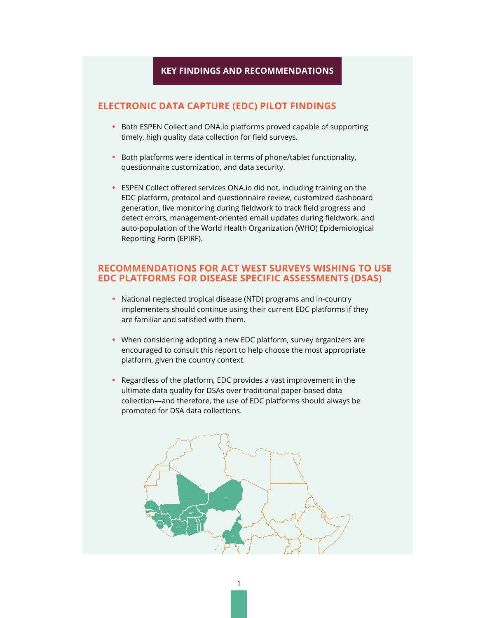### **KEY FINDINGS AND RECOMMENDATIONS**

### <span id="page-2-0"></span>**ELECTRONIC DATA CAPTURE (EDC) PILOT FINDINGS**

- **•** Both ESPEN Collect and ONA.io platforms proved capable of supporting timely, high quality data collection for field surveys.
- **•** Both platforms were identical in terms of phone/tablet functionality, questionnaire customization, and data security.
- **•** ESPEN Collect offered services ONA.io did not, including training on the EDC platform, protocol and questionnaire review, customized dashboard generation, live monitoring during fieldwork to track field progress and detect errors, management-oriented email updates during fieldwork, and auto-population of the World Health Organization (WHO) Epidemiological Reporting Form (EPIRF).

### **RECOMMENDATIONS FOR ACT WEST SURVEYS WISHING TO USE EDC PLATFORMS FOR DISEASE SPECIFIC ASSESSMENTS (DSAS)**

- **•** National neglected tropical disease (NTD) programs and in-country implementers should continue using their current EDC platforms if they are familiar and satisfied with them.
- **•** When considering adopting a new EDC platform, survey organizers are encouraged to consult this report to help choose the most appropriate platform, given the country context.
- **•** Regardless of the platform, EDC provides a vast improvement in the ultimate data quality for DSAs over traditional paper-based data collection—and therefore, the use of EDC platforms should always be promoted for DSA data collections.

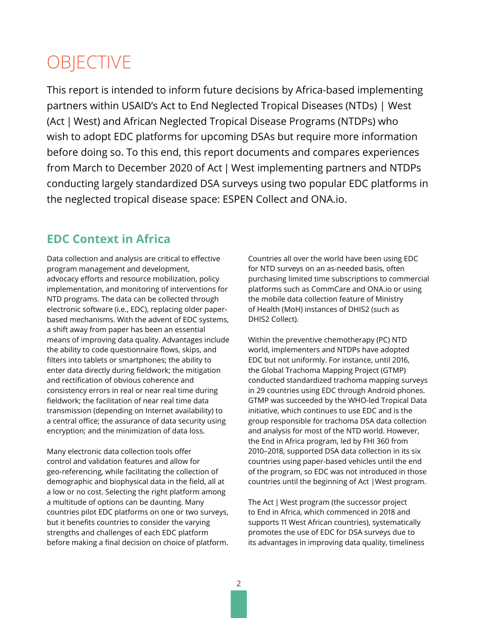# <span id="page-3-0"></span>**OBJECTIVE**

This report is intended to inform future decisions by Africa-based implementing partners within USAID's Act to End Neglected Tropical Diseases (NTDs) | West (Act | West) and African Neglected Tropical Disease Programs (NTDPs) who wish to adopt EDC platforms for upcoming DSAs but require more information before doing so. To this end, this report documents and compares experiences from March to December 2020 of Act | West implementing partners and NTDPs conducting largely standardized DSA surveys using two popular EDC platforms in the neglected tropical disease space: ESPEN Collect and ONA.io.

# **EDC Context in Africa**

Data collection and analysis are critical to effective program management and development, advocacy efforts and resource mobilization, policy implementation, and monitoring of interventions for NTD programs. The data can be collected through electronic software (i.e., EDC), replacing older paperbased mechanisms. With the advent of EDC systems, a shift away from paper has been an essential means of improving data quality. Advantages include the ability to code questionnaire flows, skips, and filters into tablets or smartphones; the ability to enter data directly during fieldwork; the mitigation and rectification of obvious coherence and consistency errors in real or near real time during fieldwork; the facilitation of near real time data transmission (depending on Internet availability) to a central office; the assurance of data security using encryption; and the minimization of data loss.

Many electronic data collection tools offer control and validation features and allow for geo-referencing, while facilitating the collection of demographic and biophysical data in the field, all at a low or no cost. Selecting the right platform among a multitude of options can be daunting. Many countries pilot EDC platforms on one or two surveys, but it benefits countries to consider the varying strengths and challenges of each EDC platform before making a final decision on choice of platform. Countries all over the world have been using EDC for NTD surveys on an as-needed basis, often purchasing limited time subscriptions to commercial platforms such as CommCare and ONA.io or using the mobile data collection feature of Ministry of Health (MoH) instances of DHIS2 (such as DHIS2 Collect).

Within the preventive chemotherapy (PC) NTD world, implementers and NTDPs have adopted EDC but not uniformly. For instance, until 2016, the Global Trachoma Mapping Project (GTMP) conducted standardized trachoma mapping surveys in 29 countries using EDC through Android phones. GTMP was succeeded by the WHO-led Tropical Data initiative, which continues to use EDC and is the group responsible for trachoma DSA data collection and analysis for most of the NTD world. However, the End in Africa program, led by FHI 360 from 2010–2018, supported DSA data collection in its six countries using paper-based vehicles until the end of the program, so EDC was not introduced in those countries until the beginning of Act |West program.

The Act | West program (the successor project to End in Africa, which commenced in 2018 and supports 11 West African countries), systematically promotes the use of EDC for DSA surveys due to its advantages in improving data quality, timeliness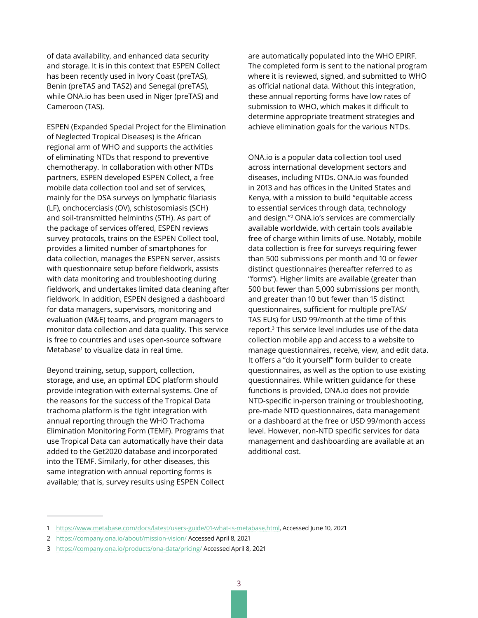of data availability, and enhanced data security and storage. It is in this context that ESPEN Collect has been recently used in Ivory Coast (preTAS), Benin (preTAS and TAS2) and Senegal (preTAS), while ONA.io has been used in Niger (preTAS) and Cameroon (TAS).

ESPEN (Expanded Special Project for the Elimination of Neglected Tropical Diseases) is the African regional arm of WHO and supports the activities of eliminating NTDs that respond to preventive chemotherapy. In collaboration with other NTDs partners, ESPEN developed ESPEN Collect, a free mobile data collection tool and set of services, mainly for the DSA surveys on lymphatic filariasis (LF), onchocerciasis (OV), schistosomiasis (SCH) and soil-transmitted helminths (STH). As part of the package of services offered, ESPEN reviews survey protocols, trains on the ESPEN Collect tool, provides a limited number of smartphones for data collection, manages the ESPEN server, assists with questionnaire setup before fieldwork, assists with data monitoring and troubleshooting during fieldwork, and undertakes limited data cleaning after fieldwork. In addition, ESPEN designed a dashboard for data managers, supervisors, monitoring and evaluation (M&E) teams, and program managers to monitor data collection and data quality. This service is free to countries and uses open-source software Metabase<sup>1</sup> to visualize data in real time.

Beyond training, setup, support, collection, storage, and use, an optimal EDC platform should provide integration with external systems. One of the reasons for the success of the Tropical Data trachoma platform is the tight integration with annual reporting through the WHO Trachoma Elimination Monitoring Form (TEMF). Programs that use Tropical Data can automatically have their data added to the Get2020 database and incorporated into the TEMF. Similarly, for other diseases, this same integration with annual reporting forms is available; that is, survey results using ESPEN Collect are automatically populated into the WHO EPIRF. The completed form is sent to the national program where it is reviewed, signed, and submitted to WHO as official national data. Without this integration, these annual reporting forms have low rates of submission to WHO, which makes it difficult to determine appropriate treatment strategies and achieve elimination goals for the various NTDs.

ONA.io is a popular data collection tool used across international development sectors and diseases, including NTDs. ONA.io was founded in 2013 and has offices in the United States and Kenya, with a mission to build "equitable access to essential services through data, technology and design."2 ONA.io's services are commercially available worldwide, with certain tools available free of charge within limits of use. Notably, mobile data collection is free for surveys requiring fewer than 500 submissions per month and 10 or fewer distinct questionnaires (hereafter referred to as "forms"). Higher limits are available (greater than 500 but fewer than 5,000 submissions per month, and greater than 10 but fewer than 15 distinct questionnaires, sufficient for multiple preTAS/ TAS EUs) for USD 99/month at the time of this report.3 This service level includes use of the data collection mobile app and access to a website to manage questionnaires, receive, view, and edit data. It offers a "do it yourself" form builder to create questionnaires, as well as the option to use existing questionnaires. While written guidance for these functions is provided, ONA.io does not provide NTD-specific in-person training or troubleshooting, pre-made NTD questionnaires, data management or a dashboard at the free or USD 99/month access level. However, non-NTD specific services for data management and dashboarding are available at an additional cost.

<sup>1</sup> <https://www.metabase.com/docs/latest/users-guide/01-what-is-metabase.html>, Accessed June 10, 2021

<sup>2</sup> <https://company.ona.io/about/mission-vision/> Accessed April 8, 2021

<sup>3</sup> <https://company.ona.io/products/ona-data/pricing/>Accessed April 8, 2021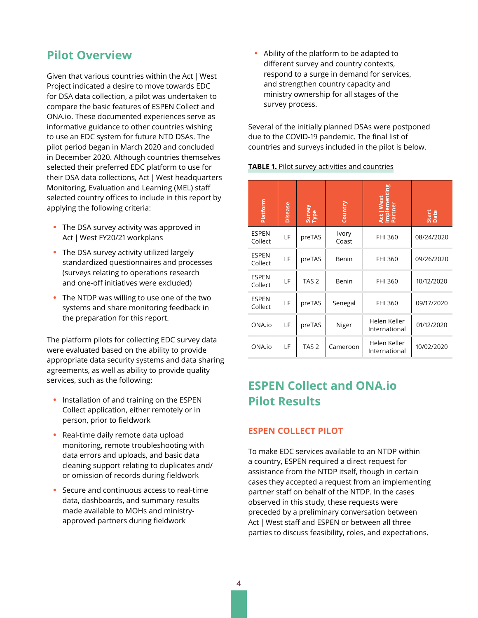# <span id="page-5-0"></span>**Pilot Overview**

Given that various countries within the Act | West Project indicated a desire to move towards EDC for DSA data collection, a pilot was undertaken to compare the basic features of ESPEN Collect and ONA.io. These documented experiences serve as informative guidance to other countries wishing to use an EDC system for future NTD DSAs. The pilot period began in March 2020 and concluded in December 2020. Although countries themselves selected their preferred EDC platform to use for their DSA data collections, Act | West headquarters Monitoring, Evaluation and Learning (MEL) staff selected country offices to include in this report by applying the following criteria:

- **•** The DSA survey activity was approved in Act | West FY20/21 workplans
- **•** The DSA survey activity utilized largely standardized questionnaires and processes (surveys relating to operations research and one-off initiatives were excluded)
- **•** The NTDP was willing to use one of the two systems and share monitoring feedback in the preparation for this report.

The platform pilots for collecting EDC survey data were evaluated based on the ability to provide appropriate data security systems and data sharing agreements, as well as ability to provide quality services, such as the following:

- **•** Installation of and training on the ESPEN Collect application, either remotely or in person, prior to fieldwork
- **•** Real-time daily remote data upload monitoring, remote troubleshooting with data errors and uploads, and basic data cleaning support relating to duplicates and/ or omission of records during fieldwork
- **•** Secure and continuous access to real-time data, dashboards, and summary results made available to MOHs and ministryapproved partners during fieldwork

**•** Ability of the platform to be adapted to different survey and country contexts, respond to a surge in demand for services, and strengthen country capacity and ministry ownership for all stages of the survey process.

Several of the initially planned DSAs were postponed due to the COVID-19 pandemic. The final list of countries and surveys included in the pilot is below.

| Platform                | <b>Disease</b> | Survey<br>Type   | Country               | Vest<br>Implemen<br>Partner<br>Act  <br>Impl | Start<br>Date |
|-------------------------|----------------|------------------|-----------------------|----------------------------------------------|---------------|
| <b>ESPEN</b><br>Collect | LF             | preTAS           | <b>Ivory</b><br>Coast | FHI 360                                      | 08/24/2020    |
| <b>ESPEN</b><br>Collect | LF             | preTAS           | Benin                 | FHI 360                                      | 09/26/2020    |
| <b>ESPEN</b><br>Collect | LF             | TAS <sub>2</sub> | Benin                 | FHI 360                                      | 10/12/2020    |
| <b>ESPEN</b><br>Collect | LF             | preTAS           | Senegal               | FHI 360                                      | 09/17/2020    |
| ONA.io                  | LF             | preTAS           | Niger                 | Helen Keller<br>International                | 01/12/2020    |
| ONA.io                  | LF             | TAS <sub>2</sub> | Cameroon              | Helen Keller<br>International                | 10/02/2020    |

# **ESPEN Collect and ONA.io Pilot Results**

## **ESPEN COLLECT PILOT**

To make EDC services available to an NTDP within a country, ESPEN required a direct request for assistance from the NTDP itself, though in certain cases they accepted a request from an implementing partner staff on behalf of the NTDP. In the cases observed in this study, these requests were preceded by a preliminary conversation between Act | West staff and ESPEN or between all three parties to discuss feasibility, roles, and expectations.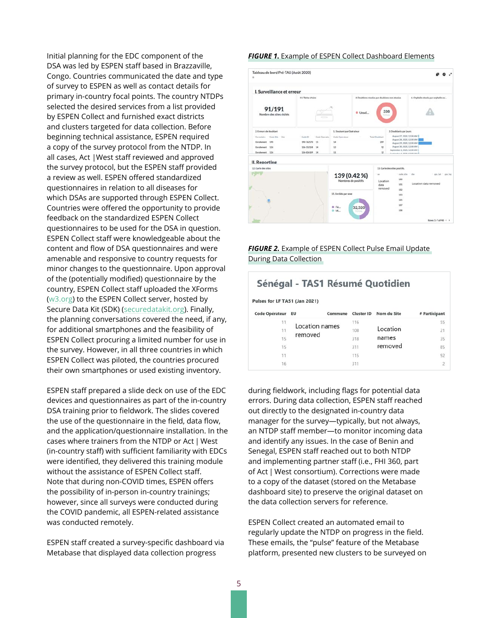<span id="page-6-0"></span>Initial planning for the EDC component of the DSA was led by ESPEN staff based in Brazzaville, Congo. Countries communicated the date and type of survey to ESPEN as well as contact details for primary in-country focal points. The country NTDPs selected the desired services from a list provided by ESPEN Collect and furnished exact districts and clusters targeted for data collection. Before beginning technical assistance, ESPEN required a copy of the survey protocol from the NTDP. In all cases, Act |West staff reviewed and approved the survey protocol, but the ESPEN staff provided a review as well. ESPEN offered standardized questionnaires in relation to all diseases for which DSAs are supported through ESPEN Collect. Countries were offered the opportunity to provide feedback on the standardized ESPEN Collect questionnaires to be used for the DSA in question. ESPEN Collect staff were knowledgeable about the content and flow of DSA questionnaires and were amenable and responsive to country requests for minor changes to the questionnaire. Upon approval of the (potentially modified) questionnaire by the country, ESPEN Collect staff uploaded the XForms ([w3.org\)](http://w3.org) to the ESPEN Collect server, hosted by Secure Data Kit (SDK) ([securedatakit.org](http://securedatakit.org)). Finally, the planning conversations covered the need, if any, for additional smartphones and the feasibility of ESPEN Collect procuring a limited number for use in the survey. However, in all three countries in which ESPEN Collect was piloted, the countries procured their own smartphones or used existing inventory.

ESPEN staff prepared a slide deck on use of the EDC devices and questionnaires as part of the in-country DSA training prior to fieldwork. The slides covered the use of the questionnaire in the field, data flow, and the application/questionnaire installation. In the cases where trainers from the NTDP or Act | West (in-country staff) with sufficient familiarity with EDCs were identified, they delivered this training module without the assistance of ESPEN Collect staff. Note that during non-COVID times, ESPEN offers the possibility of in-person in-country trainings; however, since all surveys were conducted during the COVID pandemic, all ESPEN-related assistance was conducted remotely.

ESPEN staff created a survey-specific dashboard via Metabase that displayed data collection progress

#### *FIGURE 1***.** Example of ESPEN Collect Dashboard Elements



*FIGURE 2.* Example of ESPEN Collect Pulse Email Update During Data Collection

# Sénégal - TAS1 Résumé Quotidien

Pulses for LF TAS1 (Jan 2021)

| Code Opérateur | EU                        | Commune | Cluster ID | Nom du Site | # Participant  |
|----------------|---------------------------|---------|------------|-------------|----------------|
| 11             | Location names<br>removed | 116     |            | 55          |                |
| 11             |                           |         | 108        | Location    | 21             |
| 15             |                           |         | 318        | names       | 35             |
| 15             |                           |         | 311        | removed     | 85             |
| 11             |                           | 115     |            | 92          |                |
| 16             |                           |         | 311        |             | $\overline{2}$ |

during fieldwork, including flags for potential data errors. During data collection, ESPEN staff reached out directly to the designated in-country data manager for the survey—typically, but not always, an NTDP staff member—to monitor incoming data and identify any issues. In the case of Benin and Senegal, ESPEN staff reached out to both NTDP and implementing partner staff (i.e., FHI 360, part of Act | West consortium). Corrections were made to a copy of the dataset (stored on the Metabase dashboard site) to preserve the original dataset on the data collection servers for reference.

ESPEN Collect created an automated email to regularly update the NTDP on progress in the field. These emails, the "pulse" feature of the Metabase platform, presented new clusters to be surveyed on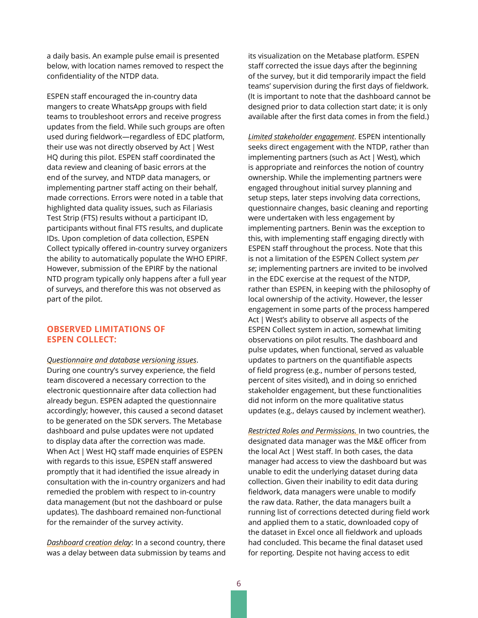<span id="page-7-0"></span>a daily basis. An example pulse email is presented below, with location names removed to respect the confidentiality of the NTDP data.

ESPEN staff encouraged the in-country data mangers to create WhatsApp groups with field teams to troubleshoot errors and receive progress updates from the field. While such groups are often used during fieldwork—regardless of EDC platform, their use was not directly observed by Act | West HQ during this pilot. ESPEN staff coordinated the data review and cleaning of basic errors at the end of the survey, and NTDP data managers, or implementing partner staff acting on their behalf, made corrections. Errors were noted in a table that highlighted data quality issues, such as Filariasis Test Strip (FTS) results without a participant ID, participants without final FTS results, and duplicate IDs. Upon completion of data collection, ESPEN Collect typically offered in-country survey organizers the ability to automatically populate the WHO EPIRF. However, submission of the EPIRF by the national NTD program typically only happens after a full year of surveys, and therefore this was not observed as part of the pilot.

#### **OBSERVED LIMITATIONS OF ESPEN COLLECT:**

*Questionnaire and database versioning issues*. During one country's survey experience, the field team discovered a necessary correction to the electronic questionnaire after data collection had already begun. ESPEN adapted the questionnaire accordingly; however, this caused a second dataset to be generated on the SDK servers. The Metabase dashboard and pulse updates were not updated to display data after the correction was made. When Act | West HQ staff made enquiries of ESPEN with regards to this issue, ESPEN staff answered promptly that it had identified the issue already in consultation with the in-country organizers and had remedied the problem with respect to in-country data management (but not the dashboard or pulse updates). The dashboard remained non-functional for the remainder of the survey activity.

*Dashboard creation delay*: In a second country, there was a delay between data submission by teams and its visualization on the Metabase platform. ESPEN staff corrected the issue days after the beginning of the survey, but it did temporarily impact the field teams' supervision during the first days of fieldwork. (It is important to note that the dashboard cannot be designed prior to data collection start date; it is only available after the first data comes in from the field.)

*Limited stakeholder engagement*. ESPEN intentionally seeks direct engagement with the NTDP, rather than implementing partners (such as Act | West), which is appropriate and reinforces the notion of country ownership. While the implementing partners were engaged throughout initial survey planning and setup steps, later steps involving data corrections, questionnaire changes, basic cleaning and reporting were undertaken with less engagement by implementing partners. Benin was the exception to this, with implementing staff engaging directly with ESPEN staff throughout the process. Note that this is not a limitation of the ESPEN Collect system *per se*; implementing partners are invited to be involved in the EDC exercise at the request of the NTDP, rather than ESPEN, in keeping with the philosophy of local ownership of the activity. However, the lesser engagement in some parts of the process hampered Act | West's ability to observe all aspects of the ESPEN Collect system in action, somewhat limiting observations on pilot results. The dashboard and pulse updates, when functional, served as valuable updates to partners on the quantifiable aspects of field progress (e.g., number of persons tested, percent of sites visited), and in doing so enriched stakeholder engagement, but these functionalities did not inform on the more qualitative status updates (e.g., delays caused by inclement weather).

*Restricted Roles and Permissions.* In two countries, the designated data manager was the M&E officer from the local Act | West staff. In both cases, the data manager had access to view the dashboard but was unable to edit the underlying dataset during data collection. Given their inability to edit data during fieldwork, data managers were unable to modify the raw data. Rather, the data managers built a running list of corrections detected during field work and applied them to a static, downloaded copy of the dataset in Excel once all fieldwork and uploads had concluded. This became the final dataset used for reporting. Despite not having access to edit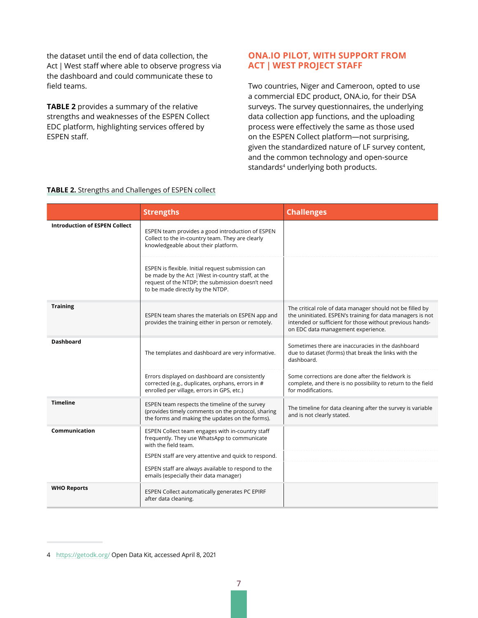<span id="page-8-0"></span>the dataset until the end of data collection, the Act | West staff where able to observe progress via the dashboard and could communicate these to field teams.

**TABLE 2** provides a summary of the relative strengths and weaknesses of the ESPEN Collect EDC platform, highlighting services offered by ESPEN staff.

### **ONA.IO PILOT, WITH SUPPORT FROM ACT | WEST PROJECT STAFF**

Two countries, Niger and Cameroon, opted to use a commercial EDC product, ONA.io, for their DSA surveys. The survey questionnaires, the underlying data collection app functions, and the uploading process were effectively the same as those used on the ESPEN Collect platform—not surprising, given the standardized nature of LF survey content, and the common technology and open-source standards<sup>4</sup> underlying both products.

|                                      | <b>Strengths</b>                                                                                                                                                                                | <b>Challenges</b>                                                                                                                                                                                                         |
|--------------------------------------|-------------------------------------------------------------------------------------------------------------------------------------------------------------------------------------------------|---------------------------------------------------------------------------------------------------------------------------------------------------------------------------------------------------------------------------|
| <b>Introduction of ESPEN Collect</b> | ESPEN team provides a good introduction of ESPEN<br>Collect to the in-country team. They are clearly<br>knowledgeable about their platform.                                                     |                                                                                                                                                                                                                           |
|                                      | ESPEN is flexible. Initial request submission can<br>be made by the Act   West in-country staff, at the<br>request of the NTDP; the submission doesn't need<br>to be made directly by the NTDP. |                                                                                                                                                                                                                           |
| <b>Training</b>                      | ESPEN team shares the materials on ESPEN app and<br>provides the training either in person or remotely.                                                                                         | The critical role of data manager should not be filled by<br>the uninitiated. ESPEN's training for data managers is not<br>intended or sufficient for those without previous hands-<br>on EDC data management experience. |
| <b>Dashboard</b>                     | The templates and dashboard are very informative.                                                                                                                                               | Sometimes there are inaccuracies in the dashboard<br>due to dataset (forms) that break the links with the<br>dashboard.                                                                                                   |
|                                      | Errors displayed on dashboard are consistently<br>corrected (e.g., duplicates, orphans, errors in #<br>enrolled per village, errors in GPS, etc.)                                               | Some corrections are done after the fieldwork is<br>complete, and there is no possibility to return to the field<br>for modifications.                                                                                    |
| <b>Timeline</b>                      | ESPEN team respects the timeline of the survey<br>(provides timely comments on the protocol, sharing<br>the forms and making the updates on the forms).                                         | The timeline for data cleaning after the survey is variable<br>and is not clearly stated.                                                                                                                                 |
| Communication                        | ESPEN Collect team engages with in-country staff<br>frequently. They use WhatsApp to communicate<br>with the field team.                                                                        |                                                                                                                                                                                                                           |
|                                      | ESPEN staff are very attentive and quick to respond.                                                                                                                                            |                                                                                                                                                                                                                           |
|                                      | ESPEN staff are always available to respond to the<br>emails (especially their data manager)                                                                                                    |                                                                                                                                                                                                                           |
| <b>WHO Reports</b>                   | ESPEN Collect automatically generates PC EPIRF<br>after data cleaning.                                                                                                                          |                                                                                                                                                                                                                           |

#### **TABLE 2.** Strengths and Challenges of ESPEN collect

<sup>4</sup> <https://getodk.org/>Open Data Kit, accessed April 8, 2021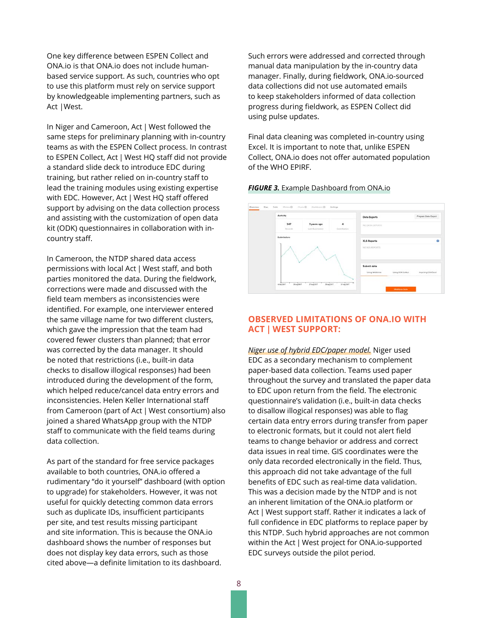<span id="page-9-0"></span>One key difference between ESPEN Collect and ONA.io is that ONA.io does not include humanbased service support. As such, countries who opt to use this platform must rely on service support by knowledgeable implementing partners, such as Act |West.

In Niger and Cameroon, Act | West followed the same steps for preliminary planning with in-country teams as with the ESPEN Collect process. In contrast to ESPEN Collect, Act | West HQ staff did not provide a standard slide deck to introduce EDC during training, but rather relied on in-country staff to lead the training modules using existing expertise with EDC. However, Act | West HQ staff offered support by advising on the data collection process and assisting with the customization of open data kit (ODK) questionnaires in collaboration with incountry staff.

In Cameroon, the NTDP shared data access permissions with local Act | West staff, and both parties monitored the data. During the fieldwork, corrections were made and discussed with the field team members as inconsistencies were identified. For example, one interviewer entered the same village name for two different clusters, which gave the impression that the team had covered fewer clusters than planned; that error was corrected by the data manager. It should be noted that restrictions (i.e., built-in data checks to disallow illogical responses) had been introduced during the development of the form, which helped reduce/cancel data entry errors and inconsistencies. Helen Keller International staff from Cameroon (part of Act | West consortium) also joined a shared WhatsApp group with the NTDP staff to communicate with the field teams during data collection.

As part of the standard for free service packages available to both countries, ONA.io offered a rudimentary "do it yourself" dashboard (with option to upgrade) for stakeholders. However, it was not useful for quickly detecting common data errors such as duplicate IDs, insufficient participants per site, and test results missing participant and site information. This is because the ONA.io dashboard shows the number of responses but does not display key data errors, such as those cited above—a definite limitation to its dashboard.

Such errors were addressed and corrected through manual data manipulation by the in-country data manager. Finally, during fieldwork, ONA.io-sourced data collections did not use automated emails to keep stakeholders informed of data collection progress during fieldwork, as ESPEN Collect did using pulse updates.

Final data cleaning was completed in-country using Excel. It is important to note that, unlike ESPEN Collect, ONA.io does not offer automated population of the WHO EPIRF.

#### *FIGURE 3.* Example Dashboard from ONA.io



## **OBSERVED LIMITATIONS OF ONA.IO WITH ACT | WEST SUPPORT:**

*Niger use of hybrid EDC/paper model.* Niger used EDC as a secondary mechanism to complement paper-based data collection. Teams used paper throughout the survey and translated the paper data to EDC upon return from the field. The electronic questionnaire's validation (i.e., built-in data checks to disallow illogical responses) was able to flag certain data entry errors during transfer from paper to electronic formats, but it could not alert field teams to change behavior or address and correct data issues in real time. GIS coordinates were the only data recorded electronically in the field. Thus, this approach did not take advantage of the full benefits of EDC such as real-time data validation. This was a decision made by the NTDP and is not an inherent limitation of the ONA.io platform or Act | West support staff. Rather it indicates a lack of full confidence in EDC platforms to replace paper by this NTDP. Such hybrid approaches are not common within the Act | West project for ONA.io-supported EDC surveys outside the pilot period.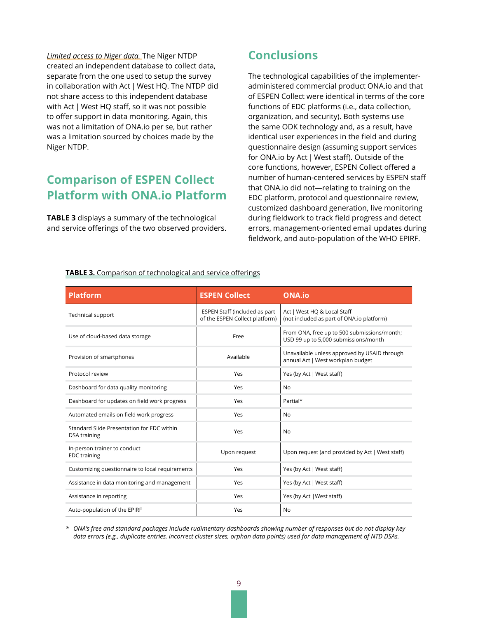<span id="page-10-0"></span>*Limited access to Niger data.* The Niger NTDP created an independent database to collect data, separate from the one used to setup the survey in collaboration with Act | West HQ. The NTDP did not share access to this independent database with Act | West HQ staff, so it was not possible to offer support in data monitoring. Again, this was not a limitation of ONA.io per se, but rather was a limitation sourced by choices made by the Niger NTDP.

# **Comparison of ESPEN Collect Platform with ONA.io Platform**

**TABLE 3** displays a summary of the technological and service offerings of the two observed providers.

# **Conclusions**

The technological capabilities of the implementeradministered commercial product ONA.io and that of ESPEN Collect were identical in terms of the core functions of EDC platforms (i.e., data collection, organization, and security). Both systems use the same ODK technology and, as a result, have identical user experiences in the field and during questionnaire design (assuming support services for ONA.io by Act | West staff). Outside of the core functions, however, ESPEN Collect offered a number of human-centered services by ESPEN staff that ONA.io did not—relating to training on the EDC platform, protocol and questionnaire review, customized dashboard generation, live monitoring during fieldwork to track field progress and detect errors, management-oriented email updates during fieldwork, and auto-population of the WHO EPIRF.

| <b>Platform</b>                                            | <b>ESPEN Collect</b>                                            | <b>ONA.io</b>                                                                       |
|------------------------------------------------------------|-----------------------------------------------------------------|-------------------------------------------------------------------------------------|
| Technical support                                          | ESPEN Staff (included as part<br>of the ESPEN Collect platform) | Act   West HQ & Local Staff<br>(not included as part of ONA.io platform)            |
| Use of cloud-based data storage                            | Free                                                            | From ONA, free up to 500 submissions/month;<br>USD 99 up to 5,000 submissions/month |
| Provision of smartphones                                   | Available                                                       | Unavailable unless approved by USAID through<br>annual Act   West workplan budget   |
| Protocol review                                            | Yes                                                             | Yes (by Act   West staff)                                                           |
| Dashboard for data quality monitoring                      | Yes                                                             | N <sub>0</sub>                                                                      |
| Dashboard for updates on field work progress               | Yes                                                             | Partial*                                                                            |
| Automated emails on field work progress                    | Yes                                                             | No                                                                                  |
| Standard Slide Presentation for EDC within<br>DSA training | Yes                                                             | No                                                                                  |
| In-person trainer to conduct<br><b>EDC</b> training        | Upon request                                                    | Upon request (and provided by Act   West staff)                                     |
| Customizing questionnaire to local requirements            | Yes                                                             | Yes (by Act   West staff)                                                           |
| Assistance in data monitoring and management               | Yes                                                             | Yes (by Act   West staff)                                                           |
| Assistance in reporting                                    | Yes                                                             | Yes (by Act   West staff)                                                           |
| Auto-population of the EPIRF                               | Yes                                                             | No                                                                                  |

**TABLE 3.** Comparison of technological and service offerings

*\* ONA's free and standard packages include rudimentary dashboards showing number of responses but do not display key data errors (e.g., duplicate entries, incorrect cluster sizes, orphan data points) used for data management of NTD DSAs.*